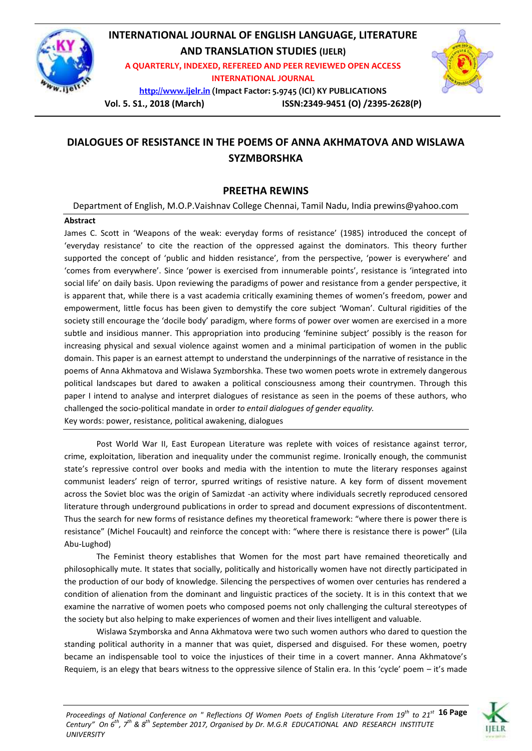

# **INTERNATIONAL JOURNAL OF ENGLISH LANGUAGE, LITERATURE AND TRANSLATION STUDIES (IJELR)**

**A QUARTERLY, INDEXED, REFEREED AND PEER REVIEWED OPEN ACCESS INTERNATIONAL JOURNAL**

**[http://www.ijelr.in](http://www.ijelr.in/) (Impact Factor: 5.9745 (ICI) KY PUBLICATIONS**



**Vol. 5. S1., 2018 (March) ISSN:2349-9451 (O) /2395-2628(P)**

## **DIALOGUES OF RESISTANCE IN THE POEMS OF ANNA AKHMATOVA AND WISLAWA SYZMBORSHKA**

### **PREETHA REWINS**

Department of English, M.O.P.Vaishnav College Chennai, Tamil Nadu, India prewins@yahoo.com

### **Abstract**

James C. Scott in 'Weapons of the weak: everyday forms of resistance' (1985) introduced the concept of 'everyday resistance' to cite the reaction of the oppressed against the dominators. This theory further supported the concept of 'public and hidden resistance', from the perspective, 'power is everywhere' and 'comes from everywhere'. Since 'power is exercised from innumerable points', resistance is 'integrated into social life' on daily basis. Upon reviewing the paradigms of power and resistance from a gender perspective, it is apparent that, while there is a vast academia critically examining themes of women's freedom, power and empowerment, little focus has been given to demystify the core subject 'Woman'. Cultural rigidities of the society still encourage the 'docile body' paradigm, where forms of power over women are exercised in a more subtle and insidious manner. This appropriation into producing 'feminine subject' possibly is the reason for increasing physical and sexual violence against women and a minimal participation of women in the public domain. This paper is an earnest attempt to understand the underpinnings of the narrative of resistance in the poems of Anna Akhmatova and Wislawa Syzmborshka. These two women poets wrote in extremely dangerous political landscapes but dared to awaken a political consciousness among their countrymen. Through this paper I intend to analyse and interpret dialogues of resistance as seen in the poems of these authors, who challenged the socio-political mandate in order *to entail dialogues of gender equality.* Key words: power, resistance, political awakening, dialogues

Post World War II, East European Literature was replete with voices of resistance against terror, crime, exploitation, liberation and inequality under the communist regime. Ironically enough, the communist state's repressive control over books and media with the intention to mute the literary responses against communist leaders' reign of terror, spurred writings of resistive nature. A key form of dissent movement across the Soviet bloc was the origin of Samizdat -an activity where individuals secretly reproduced censored literature through underground publications in order to spread and document expressions of discontentment. Thus the search for new forms of resistance defines my theoretical framework: "where there is power there is resistance" (Michel Foucault) and reinforce the concept with: "where there is resistance there is power" (Lila Abu-Lughod)

The Feminist theory establishes that Women for the most part have remained theoretically and philosophically mute. It states that socially, politically and historically women have not directly participated in the production of our body of knowledge. Silencing the perspectives of women over centuries has rendered a condition of alienation from the dominant and linguistic practices of the society. It is in this context that we examine the narrative of women poets who composed poems not only challenging the cultural stereotypes of the society but also helping to make experiences of women and their lives intelligent and valuable.

Wislawa Szymborska and Anna Akhmatova were two such women authors who dared to question the standing political authority in a manner that was quiet, dispersed and disguised. For these women, poetry became an indispensable tool to voice the injustices of their time in a covert manner. Anna Akhmatove's Requiem, is an elegy that bears witness to the oppressive silence of Stalin era. In this 'cycle' poem – it's made

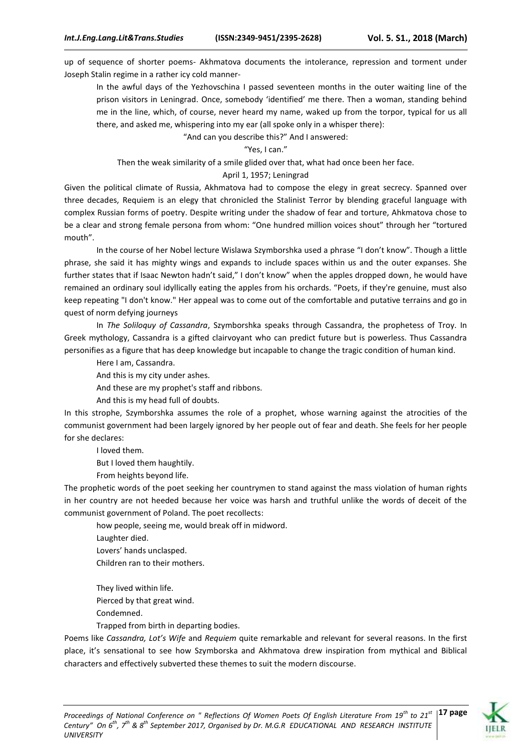up of sequence of shorter poems- Akhmatova documents the intolerance, repression and torment under Joseph Stalin regime in a rather icy cold manner-

In the awful days of the Yezhovschina I passed seventeen months in the outer waiting line of the prison visitors in Leningrad. Once, somebody 'identified' me there. Then a woman, standing behind me in the line, which, of course, never heard my name, waked up from the torpor, typical for us all there, and asked me, whispering into my ear (all spoke only in a whisper there):

"And can you describe this?" And I answered:

#### "Yes, I can."

Then the weak similarity of a smile glided over that, what had once been her face.

#### April 1, 1957; Leningrad

Given the political climate of Russia, Akhmatova had to compose the elegy in great secrecy. Spanned over three decades, Requiem is an elegy that chronicled the Stalinist Terror by blending graceful language with complex Russian forms of poetry. Despite writing under the shadow of fear and torture, Ahkmatova chose to be a clear and strong female persona from whom: "One hundred million voices shout" through her "tortured mouth".

In the course of her Nobel lecture Wislawa Szymborshka used a phrase "I don't know". Though a little phrase, she said it has mighty wings and expands to include spaces within us and the outer expanses. She further states that if Isaac Newton hadn't said," I don't know" when the apples dropped down, he would have remained an ordinary soul idyllically eating the apples from his orchards. "Poets, if they're genuine, must also keep repeating "I don't know." Her appeal was to come out of the comfortable and putative terrains and go in quest of norm defying journeys

In *The Soliloquy of Cassandra*, Szymborshka speaks through Cassandra, the prophetess of Troy. In Greek mythology, Cassandra is a gifted clairvoyant who can predict future but is powerless. Thus Cassandra personifies as a figure that has deep knowledge but incapable to change the tragic condition of human kind.

Here I am, Cassandra.

And this is my city under ashes.

And these are my prophet's staff and ribbons.

And this is my head full of doubts.

In this strophe, Szymborshka assumes the role of a prophet, whose warning against the atrocities of the communist government had been largely ignored by her people out of fear and death. She feels for her people for she declares:

I loved them.

But I loved them haughtily.

From heights beyond life.

The prophetic words of the poet seeking her countrymen to stand against the mass violation of human rights in her country are not heeded because her voice was harsh and truthful unlike the words of deceit of the communist government of Poland. The poet recollects:

how people, seeing me, would break off in midword. Laughter died. Lovers' hands unclasped. Children ran to their mothers.

They lived within life.

Pierced by that great wind.

Condemned.

Trapped from birth in departing bodies.

Poems like *Cassandra, Lot's Wife* and *Requiem* quite remarkable and relevant for several reasons. In the first place, it's sensational to see how Szymborska and Akhmatova drew inspiration from mythical and Biblical characters and effectively subverted these themes to suit the modern discourse.